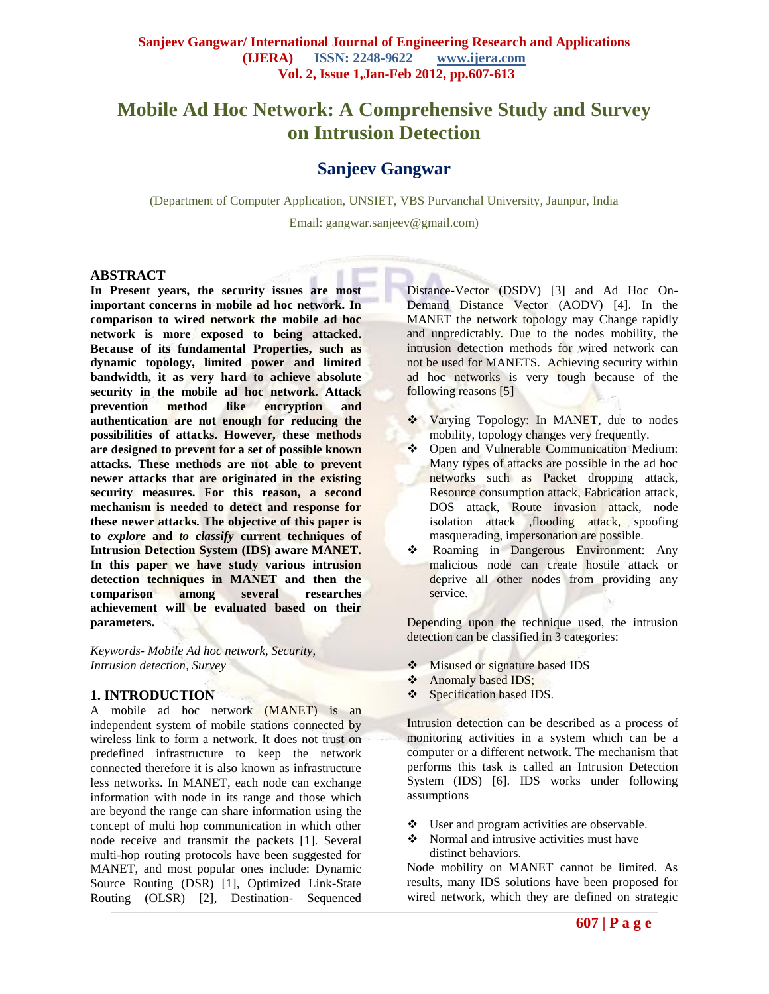# **Mobile Ad Hoc Network: A Comprehensive Study and Survey on Intrusion Detection**

# **Sanjeev Gangwar**

(Department of Computer Application, UNSIET, VBS Purvanchal University, Jaunpur, India

Email: gangwar.sanjeev@gmail.com)

#### **ABSTRACT**

**In Present years, the security issues are most important concerns in mobile ad hoc network. In comparison to wired network the mobile ad hoc network is more exposed to being attacked. Because of its fundamental Properties, such as dynamic topology, limited power and limited bandwidth, it as very hard to achieve absolute security in the mobile ad hoc network. Attack prevention method like encryption and authentication are not enough for reducing the possibilities of attacks. However, these methods are designed to prevent for a set of possible known attacks. These methods are not able to prevent newer attacks that are originated in the existing security measures. For this reason, a second mechanism is needed to detect and response for these newer attacks. The objective of this paper is to** *explore* **and** *to classify* **current techniques of Intrusion Detection System (IDS) aware MANET. In this paper we have study various intrusion detection techniques in MANET and then the comparison among several researches achievement will be evaluated based on their parameters.**

*Keywords- Mobile Ad hoc network, Security, Intrusion detection, Survey*

#### **1. INTRODUCTION**

A mobile ad hoc network (MANET) is an independent system of mobile stations connected by wireless link to form a network. It does not trust on predefined infrastructure to keep the network connected therefore it is also known as infrastructure less networks. In MANET, each node can exchange information with node in its range and those which are beyond the range can share information using the concept of multi hop communication in which other node receive and transmit the packets [1]. Several multi-hop routing protocols have been suggested for MANET, and most popular ones include: Dynamic Source Routing (DSR) [1], Optimized Link-State Routing (OLSR) [2], Destination- Sequenced

Distance-Vector (DSDV) [3] and Ad Hoc On-Demand Distance Vector (AODV) [4]. In the MANET the network topology may Change rapidly and unpredictably. Due to the nodes mobility, the intrusion detection methods for wired network can not be used for MANETS. Achieving security within ad hoc networks is very tough because of the following reasons [5]

- ◆ Varying Topology: In MANET, due to nodes mobility, topology changes very frequently.
- Open and Vulnerable Communication Medium: Many types of attacks are possible in the ad hoc networks such as Packet dropping attack, Resource consumption attack, Fabrication attack, DOS attack, Route invasion attack, node isolation attack ,flooding attack, spoofing masquerading, impersonation are possible.
- \* Roaming in Dangerous Environment: Any malicious node can create hostile attack or deprive all other nodes from providing any service.

Depending upon the technique used, the intrusion detection can be classified in 3 categories:

- **Misused or signature based IDS**
- Anomaly based IDS;
- Specification based IDS.

Intrusion detection can be described as a process of monitoring activities in a system which can be a computer or a different network. The mechanism that performs this task is called an Intrusion Detection System (IDS) [6]. IDS works under following assumptions

- User and program activities are observable.
- Normal and intrusive activities must have distinct behaviors.

Node mobility on MANET cannot be limited. As results, many IDS solutions have been proposed for wired network, which they are defined on strategic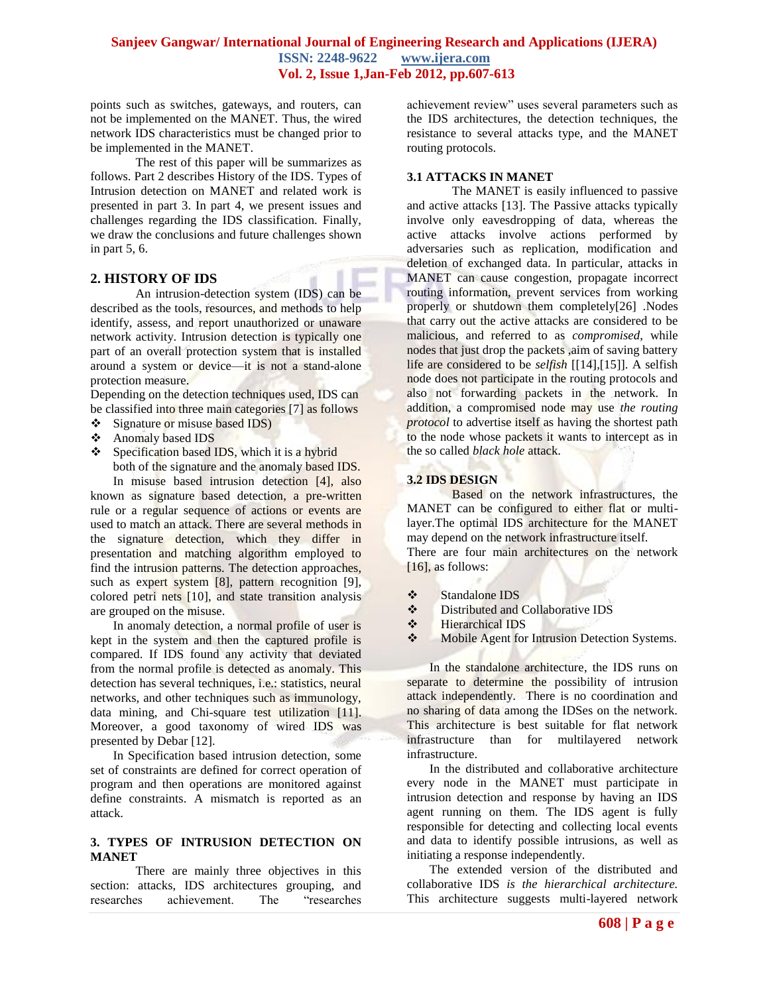points such as switches, gateways, and routers, can not be implemented on the MANET. Thus, the wired network IDS characteristics must be changed prior to be implemented in the MANET.

The rest of this paper will be summarizes as follows. Part 2 describes History of the IDS. Types of Intrusion detection on MANET and related work is presented in part 3. In part 4, we present issues and challenges regarding the IDS classification. Finally, we draw the conclusions and future challenges shown in part 5, 6.

#### **2. HISTORY OF IDS**

An intrusion-detection system (IDS) can be described as the tools, resources, and methods to help identify, assess, and report unauthorized or unaware network activity. Intrusion detection is typically one part of an overall protection system that is installed around a system or device—it is not a stand-alone protection measure.

Depending on the detection techniques used, IDS can be classified into three main categories [7] as follows

- Signature or misuse based IDS)
- ❖ Anomaly based IDS
- Specification based IDS, which it is a hybrid both of the signature and the anomaly based IDS.

In misuse based intrusion detection [4], also known as signature based detection, a pre-written rule or a regular sequence of actions or events are used to match an attack. There are several methods in the signature detection, which they differ in presentation and matching algorithm employed to find the intrusion patterns. The detection approaches, such as expert system [8], pattern recognition [9], colored petri nets [10], and state transition analysis are grouped on the misuse.

In anomaly detection, a normal profile of user is kept in the system and then the captured profile is compared. If IDS found any activity that deviated from the normal profile is detected as anomaly. This detection has several techniques, i.e.: statistics, neural networks, and other techniques such as immunology, data mining, and Chi-square test utilization [11]. Moreover, a good taxonomy of wired IDS was presented by Debar [12].

In Specification based intrusion detection, some set of constraints are defined for correct operation of program and then operations are monitored against define constraints. A mismatch is reported as an attack.

#### **3. TYPES OF INTRUSION DETECTION ON MANET**

There are mainly three objectives in this section: attacks, IDS architectures grouping, and researches achievement. The "researches achievement review" uses several parameters such as the IDS architectures, the detection techniques, the resistance to several attacks type, and the MANET routing protocols.

#### **3.1 ATTACKS IN MANET**

The MANET is easily influenced to passive and active attacks [13]. The Passive attacks typically involve only eavesdropping of data, whereas the active attacks involve actions performed by adversaries such as replication, modification and deletion of exchanged data. In particular, attacks in MANET can cause congestion, propagate incorrect routing information, prevent services from working properly or shutdown them completely[26] .Nodes that carry out the active attacks are considered to be malicious, and referred to as *compromised*, while nodes that just drop the packets ,aim of saving battery life are considered to be *selfish* [[14],[15]]. A selfish node does not participate in the routing protocols and also not forwarding packets in the network. In addition, a compromised node may use *the routing protocol* to advertise itself as having the shortest path to the node whose packets it wants to intercept as in the so called *black hole* attack.

#### **3.2 IDS DESIGN**

Based on the network infrastructures, the MANET can be configured to either flat or multilayer.The optimal IDS architecture for the MANET may depend on the network infrastructure itself. There are four main architectures on the network [16], as follows:

- Standalone IDS
- Distributed and Collaborative IDS
- **❖** Hierarchical IDS
- Mobile Agent for Intrusion Detection Systems.

In the standalone architecture, the IDS runs on separate to determine the possibility of intrusion attack independently. There is no coordination and no sharing of data among the IDSes on the network. This architecture is best suitable for flat network infrastructure than for multilayered network infrastructure.

In the distributed and collaborative architecture every node in the MANET must participate in intrusion detection and response by having an IDS agent running on them. The IDS agent is fully responsible for detecting and collecting local events and data to identify possible intrusions, as well as initiating a response independently.

The extended version of the distributed and collaborative IDS *is the hierarchical architecture.* This architecture suggests multi-layered network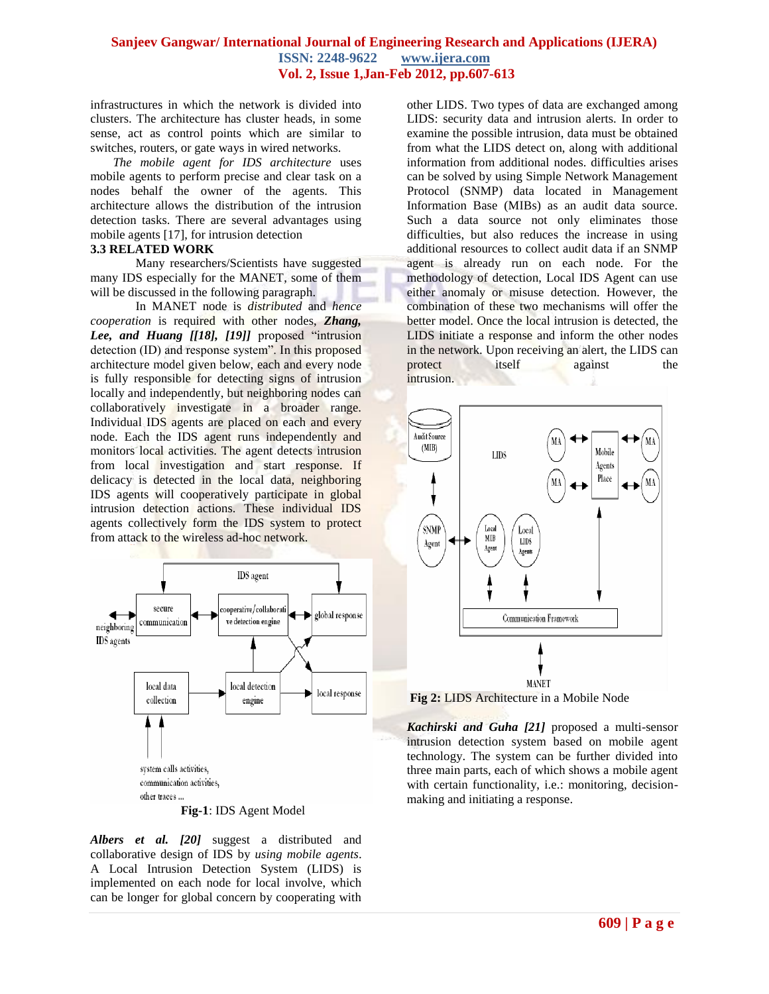infrastructures in which the network is divided into clusters. The architecture has cluster heads, in some sense, act as control points which are similar to switches, routers, or gate ways in wired networks.

*The mobile agent for IDS architecture* uses mobile agents to perform precise and clear task on a nodes behalf the owner of the agents. This architecture allows the distribution of the intrusion detection tasks. There are several advantages using mobile agents [17], for intrusion detection

#### **3.3 RELATED WORK**

Many researchers/Scientists have suggested many IDS especially for the MANET, some of them will be discussed in the following paragraph.

In MANET node is *distributed* and *hence cooperation* is required with other nodes, *Zhang,*  Lee, and Huang [[18], [19]] proposed "intrusion detection (ID) and response system". In this proposed architecture model given below, each and every node is fully responsible for detecting signs of intrusion locally and independently, but neighboring nodes can collaboratively investigate in a broader range. Individual IDS agents are placed on each and every node. Each the IDS agent runs independently and monitors local activities. The agent detects intrusion from local investigation and start response. If delicacy is detected in the local data, neighboring IDS agents will cooperatively participate in global intrusion detection actions. These individual IDS agents collectively form the IDS system to protect from attack to the wireless ad-hoc network.



**Fig-1**: IDS Agent Model

*Albers et al. [20]* suggest a distributed and collaborative design of IDS by *using mobile agents*. A Local Intrusion Detection System (LIDS) is implemented on each node for local involve, which can be longer for global concern by cooperating with other LIDS. Two types of data are exchanged among LIDS: security data and intrusion alerts. In order to examine the possible intrusion, data must be obtained from what the LIDS detect on, along with additional information from additional nodes. difficulties arises can be solved by using Simple Network Management Protocol (SNMP) data located in Management Information Base (MIBs) as an audit data source. Such a data source not only eliminates those difficulties, but also reduces the increase in using additional resources to collect audit data if an SNMP agent is already run on each node. For the methodology of detection, Local IDS Agent can use either anomaly or misuse detection. However, the combination of these two mechanisms will offer the better model. Once the local intrusion is detected, the LIDS initiate a response and inform the other nodes in the network. Upon receiving an alert, the LIDS can protect itself against the intrusion.



**Fig 2:** LIDS Architecture in a Mobile Node

*Kachirski and Guha [21]* proposed a multi-sensor intrusion detection system based on mobile agent technology. The system can be further divided into three main parts, each of which shows a mobile agent with certain functionality, *i.e.*: monitoring, decisionmaking and initiating a response.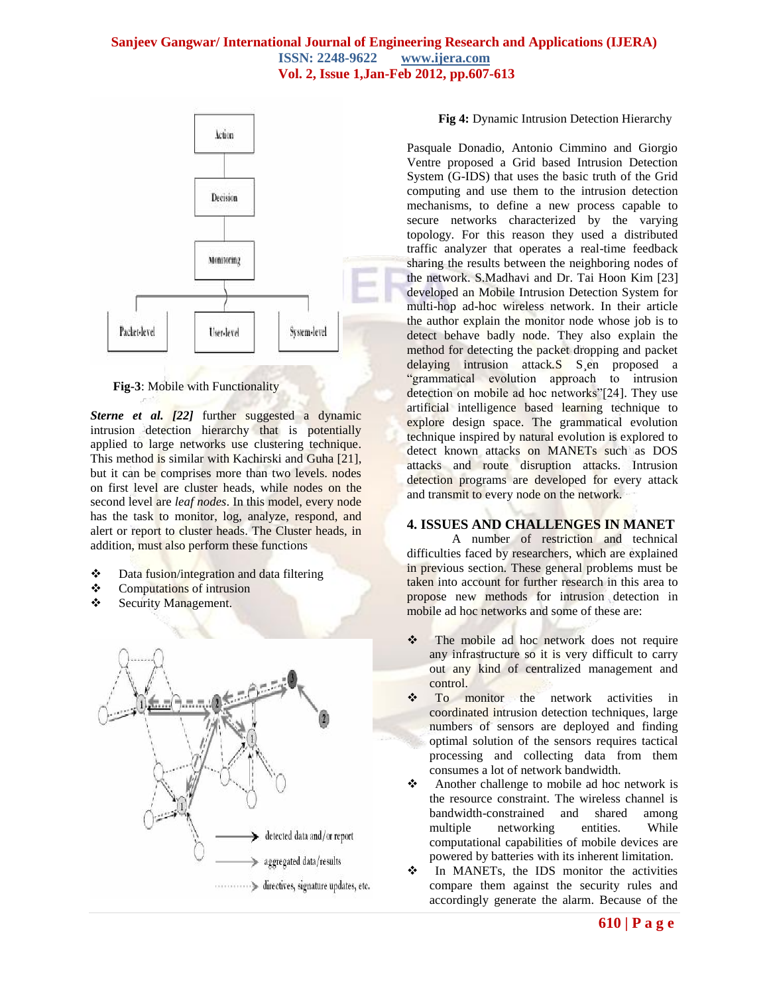

**Fig-3**: Mobile with Functionality

*Sterne et al.* [22] further suggested a dynamic intrusion detection hierarchy that is potentially applied to large networks use clustering technique. This method is similar with Kachirski and Guha [21], but it can be comprises more than two levels. nodes on first level are cluster heads, while nodes on the second level are *leaf nodes*. In this model, every node has the task to monitor, log, analyze, respond, and alert or report to cluster heads. The Cluster heads, in addition, must also perform these functions

- ❖ Data fusion/integration and data filtering
- Computations of intrusion
- Security Management.



#### **Fig 4:** Dynamic Intrusion Detection Hierarchy

Pasquale Donadio, Antonio Cimmino and Giorgio Ventre proposed a Grid based Intrusion Detection System (G-IDS) that uses the basic truth of the Grid computing and use them to the intrusion detection mechanisms, to define a new process capable to secure networks characterized by the varying topology. For this reason they used a distributed traffic analyzer that operates a real-time feedback sharing the results between the neighboring nodes of the network. S.Madhavi and Dr. Tai Hoon Kim [23] developed an Mobile Intrusion Detection System for multi-hop ad-hoc wireless network. In their article the author explain the monitor node whose job is to detect behave badly node. They also explain the method for detecting the packet dropping and packet delaying intrusion attack*.*S S¸en proposed a "grammatical evolution approach to intrusion detection on mobile ad hoc networks"[24]. They use artificial intelligence based learning technique to explore design space. The grammatical evolution technique inspired by natural evolution is explored to detect known attacks on MANETs such as DOS attacks and route disruption attacks. Intrusion detection programs are developed for every attack and transmit to every node on the network.

# **4. ISSUES AND CHALLENGES IN MANET**

A number of restriction and technical difficulties faced by researchers, which are explained in previous section. These general problems must be taken into account for further research in this area to propose new methods for intrusion detection in mobile ad hoc networks and some of these are:

- The mobile ad hoc network does not require any infrastructure so it is very difficult to carry out any kind of centralized management and control.
- To monitor the network activities in coordinated intrusion detection techniques, large numbers of sensors are deployed and finding optimal solution of the sensors requires tactical processing and collecting data from them consumes a lot of network bandwidth.
- Another challenge to mobile ad hoc network is the resource constraint. The wireless channel is bandwidth-constrained and shared among multiple networking entities. While computational capabilities of mobile devices are powered by batteries with its inherent limitation.

 $\div$  In MANETs, the IDS monitor the activities compare them against the security rules and accordingly generate the alarm. Because of the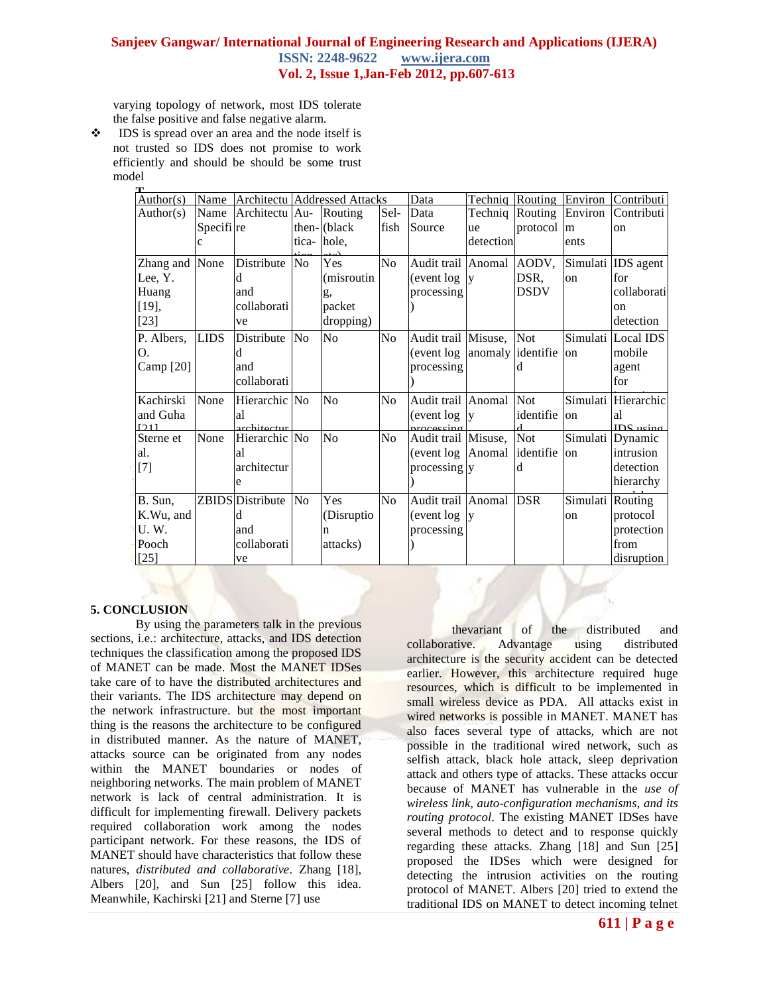varying topology of network, most IDS tolerate the false positive and false negative alarm.

 $\bullet$  IDS is spread over an area and the node itself is not trusted so IDS does not promise to work efficiently and should be should be some trust model **T**

| Author(s)         | Name                  |                              | <b>Architectu</b> Addressed Attacks |             |                | Data                              | Techniq           |             |               | Routing Environ Contributi               |
|-------------------|-----------------------|------------------------------|-------------------------------------|-------------|----------------|-----------------------------------|-------------------|-------------|---------------|------------------------------------------|
| Author(s)         | Name                  | Architectu Au-               |                                     | Routing     | Sel-           | Data                              | Techniq Routing   |             | Environ       | Contributi                               |
|                   | Specifi <sup>re</sup> |                              |                                     | then-(black | fish           | Source                            | <b>ue</b>         | protocol    | lm            | on                                       |
|                   |                       |                              |                                     | tica-lhole, |                |                                   | detection         |             | ents          |                                          |
| Zhang and None    |                       | Distribute                   | N <sub>o</sub>                      | Yes         | N <sub>o</sub> | Audit trail Anomal AODV,          |                   |             |               | Simulati IDS agent                       |
| Lee, Y.           |                       | d                            |                                     | (misroutin  |                | event log                         | V                 | DSR,        | <sub>on</sub> | for                                      |
| Huang             |                       | and                          |                                     | g,          |                | processing                        |                   | <b>DSDV</b> |               | collaborati                              |
| $[19]$ ,          |                       | collaborati                  |                                     | packet      |                |                                   |                   |             |               | on                                       |
| $[23]$            |                       | ve                           |                                     | dropping)   |                |                                   |                   |             |               | detection                                |
| P. Albers,        | <b>LIDS</b>           | Distribute                   | <b>No</b>                           | No          | No             | Audit trail Misuse,               |                   | Not         |               | Simulati Local IDS                       |
| O.                |                       | d                            |                                     |             |                | event log                         | anomaly identifie |             | on            | mobile                                   |
| Camp [20]         |                       | and                          |                                     |             |                | processing                        |                   | d           |               | agent                                    |
|                   |                       | collaborati                  |                                     |             |                |                                   |                   |             |               | for                                      |
| Kachirski         | None                  | Hierarchic No                |                                     | No          | N <sub>o</sub> | Audit trail Anomal                |                   | Not         |               | Simulati Hierarchic                      |
| and Guha          |                       | al                           |                                     |             |                | event log                         | <b>V</b>          | identifie   | on            | al                                       |
| 1211<br>Sterne et | None                  | architectur<br>Hierarchic No |                                     | No          | N <sub>o</sub> | nrocassino<br>Audit trail Misuse, |                   | Not         |               | IDS <sub>neina</sub><br>Simulati Dynamic |
| al.               |                       | al                           |                                     |             |                | event log                         | Anomal            | identifie   | on            | intrusion                                |
| $[7]$             |                       | architectur                  |                                     |             |                | processing v                      |                   | d           |               | detection                                |
|                   |                       | e                            |                                     |             |                |                                   |                   |             |               | hierarchy                                |
|                   |                       |                              |                                     |             |                |                                   |                   |             |               |                                          |
| B. Sun,           |                       | <b>ZBIDS</b> Distribute      | N <sub>o</sub>                      | Yes         | N <sub>0</sub> | Audit trail Anomal                |                   | <b>DSR</b>  | Simulati      | Routing                                  |
| K.Wu, and         |                       | d                            |                                     | (Disruptio) |                | event log                         | $\mathbf{v}$      |             | on            | protocol                                 |
| U.W.              |                       | and                          |                                     | n           |                | processing                        |                   |             |               | protection                               |
| Pooch             |                       | collaborati                  |                                     | attacks)    |                |                                   |                   |             |               | from                                     |
| $[25]$            |                       | ve                           |                                     |             |                |                                   |                   |             |               | disruption                               |

#### **5. CONCLUSION**

By using the parameters talk in the previous sections, *i.e.*: architecture, attacks, and IDS detection techniques the classification among the proposed IDS of MANET can be made. Most the MANET IDSes take care of to have the distributed architectures and their variants. The IDS architecture may depend on the network infrastructure. but the most important thing is the reasons the architecture to be configured in distributed manner. As the nature of MANET, attacks source can be originated from any nodes within the MANET boundaries or nodes of neighboring networks. The main problem of MANET network is lack of central administration. It is difficult for implementing firewall. Delivery packets required collaboration work among the nodes participant network. For these reasons, the IDS of MANET should have characteristics that follow these natures, *distributed and collaborative*. Zhang [18], Albers [20], and Sun [25] follow this idea. Meanwhile, Kachirski [21] and Sterne [7] use

thevariant of the distributed and collaborative. Advantage using distributed architecture is the security accident can be detected earlier. However, this architecture required huge resources, which is difficult to be implemented in small wireless device as PDA. All attacks exist in wired networks is possible in MANET. MANET has also faces several type of attacks, which are not possible in the traditional wired network, such as selfish attack, black hole attack, sleep deprivation attack and others type of attacks. These attacks occur because of MANET has vulnerable in the *use of wireless link, auto-configuration mechanisms, and its routing protocol*. The existing MANET IDSes have several methods to detect and to response quickly regarding these attacks. Zhang [18] and Sun [25] proposed the IDSes which were designed for detecting the intrusion activities on the routing protocol of MANET. Albers [20] tried to extend the traditional IDS on MANET to detect incoming telnet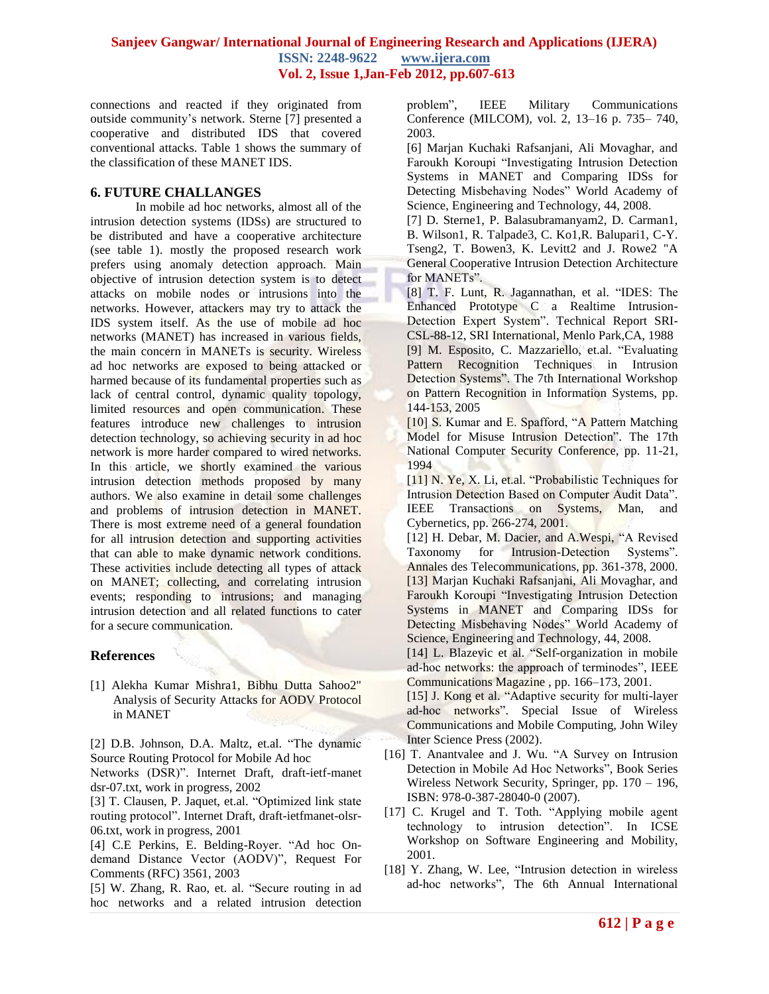connections and reacted if they originated from outside community's network. Sterne [7] presented a cooperative and distributed IDS that covered conventional attacks. Table 1 shows the summary of the classification of these MANET IDS.

#### **6. FUTURE CHALLANGES**

In mobile ad hoc networks, almost all of the intrusion detection systems (IDSs) are structured to be distributed and have a cooperative architecture (see table 1). mostly the proposed research work prefers using anomaly detection approach. Main objective of intrusion detection system is to detect attacks on mobile nodes or intrusions into the networks. However, attackers may try to attack the IDS system itself. As the use of mobile ad hoc networks (MANET) has increased in various fields, the main concern in MANETs is security. Wireless ad hoc networks are exposed to being attacked or harmed because of its fundamental properties such as lack of central control, dynamic quality topology, limited resources and open communication. These features introduce new challenges to intrusion detection technology, so achieving security in ad hoc network is more harder compared to wired networks. In this article, we shortly examined the various intrusion detection methods proposed by many authors. We also examine in detail some challenges and problems of intrusion detection in MANET. There is most extreme need of a general foundation for all intrusion detection and supporting activities that can able to make dynamic network conditions. These activities include detecting all types of attack on MANET; collecting, and correlating intrusion events; responding to intrusions; and managing intrusion detection and all related functions to cater for a secure communication.

#### **References**

[1] Alekha Kumar Mishra1, Bibhu Dutta Sahoo2" Analysis of Security Attacks for AODV Protocol in MANET

[2] D.B. Johnson, D.A. Maltz, et.al. "The dynamic Source Routing Protocol for Mobile Ad hoc

Networks (DSR)". Internet Draft, draft-ietf-manet dsr-07.txt, work in progress, 2002

[3] T. Clausen, P. Jaquet, et.al. "Optimized link state routing protocol". Internet Draft, draft-ietfmanet-olsr-06.txt, work in progress, 2001

[4] C.E Perkins, E. Belding-Royer. "Ad hoc Ondemand Distance Vector (AODV)", Request For Comments (RFC) 3561, 2003

[5] W. Zhang, R. Rao, et. al. "Secure routing in ad hoc networks and a related intrusion detection problem", IEEE Military Communications Conference (MILCOM), vol. 2, 13–16 p. 735– 740, 2003.

[6] Marjan Kuchaki Rafsanjani, Ali Movaghar, and Faroukh Koroupi "Investigating Intrusion Detection Systems in MANET and Comparing IDSs for Detecting Misbehaving Nodes" World Academy of Science, Engineering and Technology, 44, 2008.

[7] D. Sterne1, P. Balasubramanyam2, D. Carman1, B. Wilson1, R. Talpade3, C. Ko1,R. Balupari1, C-Y. Tseng2, T. Bowen3, K. Levitt2 and J. Rowe2 "A General Cooperative Intrusion Detection Architecture for MANETs".

[8] T. F. Lunt, R. Jagannathan, et al. "IDES: The Enhanced Prototype C a Realtime Intrusion-Detection Expert System". Technical Report SRI-CSL-88-12, SRI International, Menlo Park,CA, 1988 [9] M. Esposito, C. Mazzariello, et.al. "Evaluating Pattern Recognition Techniques in Intrusion Detection Systems". The 7th International Workshop on Pattern Recognition in Information Systems, pp. 144-153, 2005

[10] S. Kumar and E. Spafford, "A Pattern Matching Model for Misuse Intrusion Detection". The 17th National Computer Security Conference, pp. 11-21, 1994

[11] N. Ye, X. Li, et.al. "Probabilistic Techniques for Intrusion Detection Based on Computer Audit Data". IEEE Transactions on Systems, Man, and Cybernetics, pp. 266-274, 2001.

[12] H. Debar, M. Dacier, and A.Wespi, "A Revised Taxonomy for Intrusion-Detection Systems". Annales des Telecommunications, pp. 361-378, 2000. [13] Marjan Kuchaki Rafsanjani, Ali Movaghar, and Faroukh Koroupi "Investigating Intrusion Detection Systems in MANET and Comparing IDSs for Detecting Misbehaving Nodes" World Academy of Science, Engineering and Technology, 44, 2008.

[14] L. Blazevic et al. "Self-organization in mobile ad-hoc networks: the approach of terminodes", IEEE Communications Magazine , pp. 166–173, 2001.

[15] J. Kong et al. "Adaptive security for multi-layer ad-hoc networks". Special Issue of Wireless Communications and Mobile Computing, John Wiley Inter Science Press (2002).

- [16] T. Anantvalee and J. Wu. "A Survey on Intrusion Detection in Mobile Ad Hoc Networks". Book Series Wireless Network Security, Springer, pp. 170 – 196, ISBN: 978-0-387-28040-0 (2007).
- [17] C. Krugel and T. Toth. "Applying mobile agent technology to intrusion detection". In ICSE Workshop on Software Engineering and Mobility, 2001.
- [18] Y. Zhang, W. Lee, "Intrusion detection in wireless ad-hoc networks", The 6th Annual International